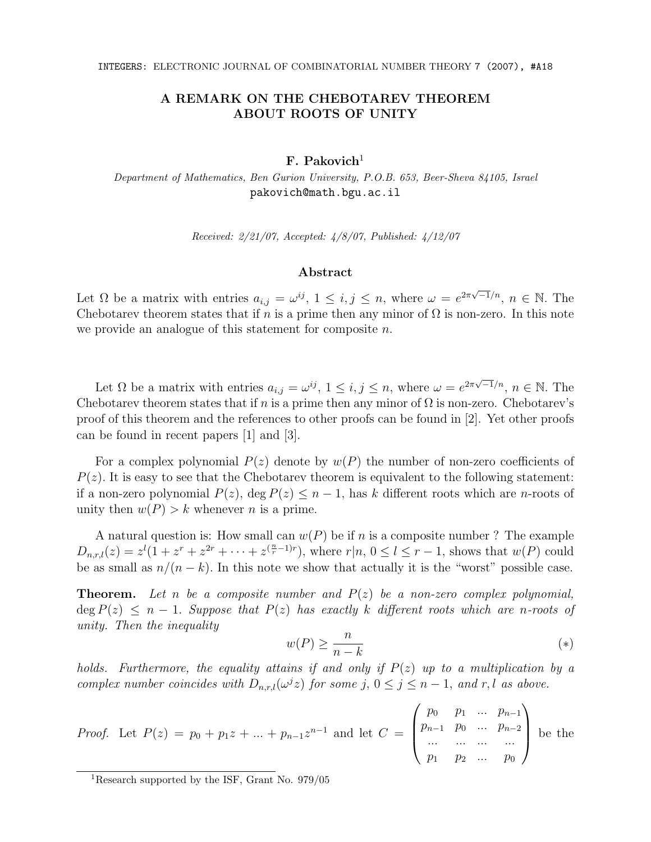## A REMARK ON THE CHEBOTAREV THEOREM ABOUT ROOTS OF UNITY

## $F.$  Pakovich<sup>1</sup>

Department of Mathematics, Ben Gurion University, P.O.B. 653, Beer-Sheva 84105, Israel pakovich@math.bgu.ac.il

Received: 2/21/07, Accepted: 4/8/07, Published: 4/12/07

## Abstract

Let  $\Omega$  be a matrix with entries  $a_{i,j} = \omega^{ij}$ ,  $1 \leq i,j \leq n$ , where  $\omega = e^{2\pi\sqrt{-1}/n}$ ,  $n \in \mathbb{N}$ . The Chebotarev theorem states that if n is a prime then any minor of  $\Omega$  is non-zero. In this note we provide an analogue of this statement for composite n.

Let  $\Omega$  be a matrix with entries  $a_{i,j} = \omega^{ij}$ ,  $1 \leq i, j \leq n$ , where  $\omega = e^{2\pi\sqrt{-1}/n}$ ,  $n \in \mathbb{N}$ . The Chebotarev theorem states that if n is a prime then any minor of  $\Omega$  is non-zero. Chebotarev's proof of this theorem and the references to other proofs can be found in [2]. Yet other proofs can be found in recent papers [1] and [3].

For a complex polynomial  $P(z)$  denote by  $w(P)$  the number of non-zero coefficients of  $P(z)$ . It is easy to see that the Chebotarev theorem is equivalent to the following statement: if a non-zero polynomial  $P(z)$ , deg  $P(z) \leq n-1$ , has k different roots which are n-roots of unity then  $w(P) > k$  whenever *n* is a prime.

A natural question is: How small can  $w(P)$  be if n is a composite number ? The example  $D_{n,r,l}(z) = z^{l}(1+z^{r}+z^{2r}+\cdots+z^{(\frac{n}{r}-1)r})$ , where  $r|n, 0 \le l \le r-1$ , shows that  $w(P)$  could be as small as  $n/(n-k)$ . In this note we show that actually it is the "worst" possible case.

**Theorem.** Let n be a composite number and  $P(z)$  be a non-zero complex polynomial,  $\deg P(z) \leq n-1$ . Suppose that  $P(z)$  has exactly k different roots which are n-roots of unity. Then the inequality

$$
w(P) \ge \frac{n}{n-k} \tag{*}
$$

holds. Furthermore, the equality attains if and only if  $P(z)$  up to a multiplication by a complex number coincides with  $D_{n,r,l}(\omega^j z)$  for some j,  $0 \le j \le n-1$ , and r, l as above.

*Proof.* Let 
$$
P(z) = p_0 + p_1 z + ... + p_{n-1} z^{n-1}
$$
 and let  $C = \begin{pmatrix} p_0 & p_1 & ... & p_{n-1} \\ p_{n-1} & p_0 & ... & p_{n-2} \\ ... & ... & ... & ... \\ p_1 & p_2 & ... & p_0 \end{pmatrix}$  be the

<sup>1</sup>Research supported by the ISF, Grant No. 979/05